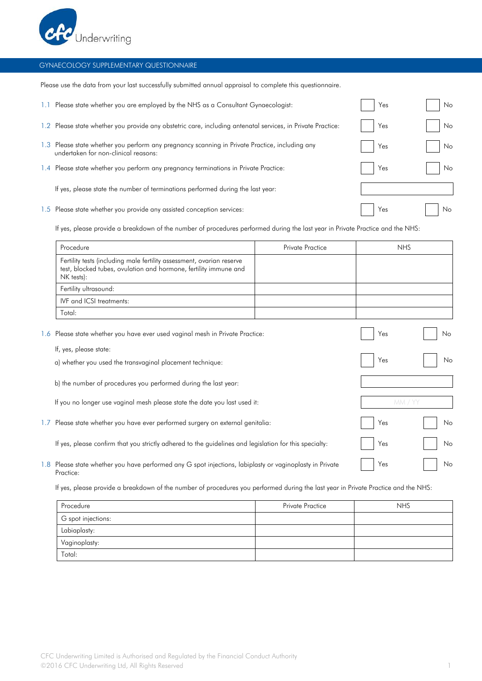

## GYNAECOLOGY SUPPLEMENTARY QUESTIONNAIRE

Please use the data from your last successfully submitted annual appraisal to complete this questionnaire.

|         | Please state whether you are employed by the NHS as a Consultant Gynaecologist:                                                    | Yes | No. |
|---------|------------------------------------------------------------------------------------------------------------------------------------|-----|-----|
| $1.2 -$ | Please state whether you provide any obstetric care, including antenatal services, in Private Practice:                            | Yes | No. |
| 1.3     | Please state whether you perform any pregnancy scanning in Private Practice, including any<br>undertaken for non-clinical reasons: | Yes | No. |
| $1.4 -$ | Please state whether you perform any pregnancy terminations in Private Practice:                                                   | Yes | No. |
|         | If yes, please state the number of terminations performed during the last year:                                                    |     |     |
|         | 1.5 Please state whether you provide any assisted conception services:                                                             | Yes | No. |

If yes, please provide a breakdown of the number of procedures performed during the last year in Private Practice and the NHS:

|                  | Procedure                                                                                                                                               | Private Practice | <b>NHS</b> |    |
|------------------|---------------------------------------------------------------------------------------------------------------------------------------------------------|------------------|------------|----|
|                  | Fertility tests (including male fertility assessment, ovarian reserve<br>test, blocked tubes, ovulation and hormone, fertility immune and<br>NK tests): |                  |            |    |
|                  | Fertility ultrasound:                                                                                                                                   |                  |            |    |
|                  | IVF and ICSI treatments:                                                                                                                                |                  |            |    |
|                  | Total:                                                                                                                                                  |                  |            |    |
| 1.6              | Please state whether you have ever used vaginal mesh in Private Practice:                                                                               |                  | Yes        | No |
|                  | If, yes, please state:                                                                                                                                  |                  |            |    |
|                  | a) whether you used the transvaginal placement technique:                                                                                               |                  | Yes        | No |
|                  | b) the number of procedures you performed during the last year:                                                                                         |                  |            |    |
|                  | If you no longer use vaginal mesh please state the date you last used it:                                                                               |                  | MM / YY    |    |
| 1.7 <sub>z</sub> | Please state whether you have ever performed surgery on external genitalia:                                                                             |                  | Yes        | No |
|                  | If yes, please confirm that you strictly adhered to the guidelines and legislation for this specialty:                                                  |                  | Yes        | No |
|                  | 1.8 Please state whether you have performed any G spot injections, labiplasty or vaginoplasty in Private<br>Practice:                                   |                  | Yes        | No |

If yes, please provide a breakdown of the number of procedures you performed during the last year in Private Practice and the NHS:

| Procedure          | <b>Private Practice</b> | <b>NHS</b> |
|--------------------|-------------------------|------------|
| G spot injections: |                         |            |
| Labiaplasty:       |                         |            |
| Vaginoplasty:      |                         |            |
| Total:             |                         |            |